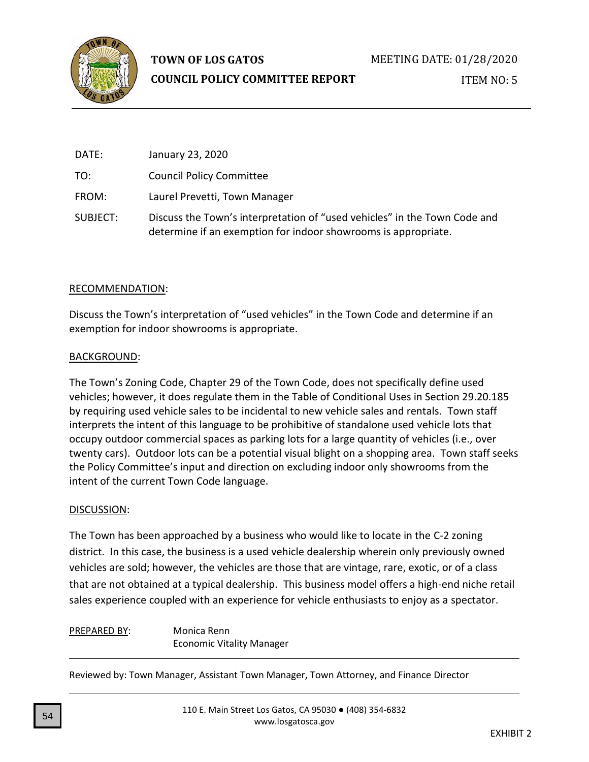

# **TOWN OF LOS GATOS**

# **COUNCIL POLICY COMMITTEE REPORT**

ITEM NO: 5

| DATE:    | January 23, 2020                                                                                                                            |
|----------|---------------------------------------------------------------------------------------------------------------------------------------------|
| TO:      | <b>Council Policy Committee</b>                                                                                                             |
| FROM:    | Laurel Prevetti, Town Manager                                                                                                               |
| SUBJECT: | Discuss the Town's interpretation of "used vehicles" in the Town Code and<br>determine if an exemption for indoor showrooms is appropriate. |

# RECOMMENDATION :

Discuss the Town's interpretation of "used vehicles" in the Town Code and determine if an exemption for indoor showrooms is appropriate.

### BACKGROUND :

The Town's Zoning Code, Chapter 29 of the Town Code , does not specifically define used vehicles ; however, it does regulate them in the Table of Conditional Use s in Section 29.20.185 by requiring used vehicle sales to be incidental to new vehicle sales and rentals. Town staff interprets the intent of this language to be prohibitive of standalone used vehicle lots that occupy outdoor commercial spaces as parking lots for a large quantity of vehicles (i.e. , over twenty cars). Outdoor lots can be a potential visual blight on a shopping area. Town staff seeks the Policy Committee's input and direction on excluding indoor only showrooms from the intent of the current Town Code language.

# DISCUSSION:

The Town has been approached by a business who would like to locate in the C - 2 zoning district . In this case, the business is a used vehicle dealership wherein only previously owned vehicles are sold; however, the vehicles are those that are vintage, rare, exotic, or of a class that are not obtained at a typical dealership. This business model offers a high -end niche retail sales experience coupled with an experience for vehicle enthusiasts to enjoy as a spectator.

#### PREPARED BY : Monica Renn Economic Vitality Manager

Reviewed by: Town Manager, Assistant Town Manager, Town Attorney, and Finance Director